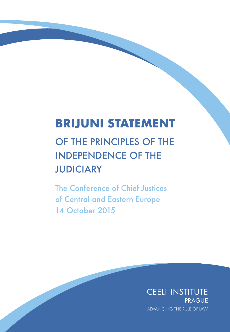## **BRIJUNI STATEMENT**

# OF THE PRINCIPLES OF THE **INDEPENDENCE OF THE JUDICIARY**

The Conference of Chief Justices of Central and Eastern Europe **14 October 2015** 

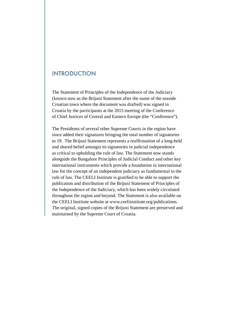## INTRODUCTION

The Statement of Principles of the Independence of the Judiciary (known now as the Brijuni Statement after the name of the seaside Croatian town where the document was drafted) was signed in Croatia by the participants at the 2015 meeting of the Conference of Chief Justices of Central and Eastern Europe (the "Conference").

The Presidents of several other Supreme Courts in the region have since added their signatures bringing the total number of signatories to 19. The Brijuni Statement represents a reaffirmation of a long-held and shared belief amongst its signatories in judicial independence as critical to upholding the rule of law. The Statement now stands alongside the Bangalore Principles of Judicial Conduct and other key international instruments which provide a foundation in international law for the concept of an independent judiciary as fundamental to the rule of law. The CEELI Institute is gratified to be able to support the publication and distribution of the Brijuni Statement of Principles of the Independence of the Judiciary, which has been widely circulated throughout the region and beyond. The Statement is also available on the CEELI Institute website at www.ceeliinstitute.org/publications. The original, signed copies of the Brijuni Statement are preserved and maintained by the Supreme Court of Croatia.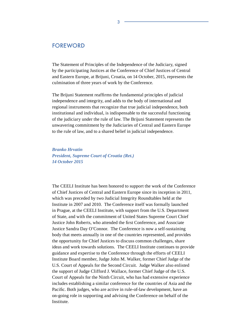#### FOREWORD

The Statement of Principles of the Independence of the Judiciary, signed by the participating Justices at the Conference of Chief Justices of Central and Eastern Europe, at Brijuni, Croatia, on 14 October, 2015, represents the culmination of three years of work by the Conference.

The Brijuni Statement reaffirms the fundamental principles of judicial independence and integrity, and adds to the body of international and regional instruments that recognize that true judicial independence, both institutional and individual, is indispensable to the successful functioning of the judiciary under the rule of law. The Brijuni Statement represents the unwavering commitment by the Judiciaries of Central and Eastern Europe to the rule of law, and to a shared belief in judicial independence.

*Branko Hrvatin President, Supreme Court of Croatia (Ret.) 14 October 2015*

The CEELI Institute has been honored to support the work of the Conference of Chief Justices of Central and Eastern Europe since its inception in 2011, which was preceded by two Judicial Integrity Roundtables held at the Institute in 2007 and 2010. The Conference itself was formally launched in Prague, at the CEELI Institute, with support from the U.S. Department of State, and with the commitment of United States Supreme Court Chief Justice John Roberts, who attended the first Conference, and Associate Justice Sandra Day O'Connor. The Conference is now a self-sustaining body that meets annually in one of the countries represented, and provides the opportunity for Chief Justices to discuss common challenges, share ideas and work towards solutions. The CEELI Institute continues to provide guidance and expertise to the Conference through the efforts of CEELI Institute Board member, Judge John M. Walker, former Chief Judge of the U.S. Court of Appeals for the Second Circuit. Judge Walker also enlisted the support of Judge Clifford J. Wallace, former Chief Judge of the U.S. Court of Appeals for the Ninth Circuit, who has had extensive experience includes establishing a similar conference for the countries of Asia and the Pacific. Both judges, who are active in rule-of-law development, have an on-going role in supporting and advising the Conference on behalf of the Institute.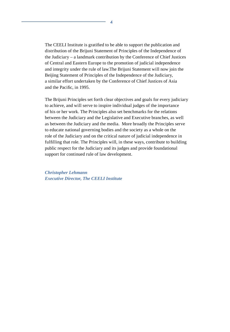The CEELI Institute is gratified to be able to support the publication and distribution of the Brijuni Statement of Principles of the Independence of the Judiciary – a landmark contribution by the Conference of Chief Justices of Central and Eastern Europe to the promotion of judicial independence and integrity under the rule of law.The Brijuni Statement will now join the Beijing Statement of Principles of the Independence of the Judiciary, a similar effort undertaken by the Conference of Chief Justices of Asia and the Pacific, in 1995.

The Brijuni Principles set forth clear objectives and goals for every judiciary to achieve, and will serve to inspire individual judges of the importance of his or her work. The Principles also set benchmarks for the relations between the Judiciary and the Legislative and Executive branches, as well as between the Judiciary and the media. More broadly the Principles serve to educate national governing bodies and the society as a whole on the role of the Judiciary and on the critical nature of judicial independence in fulfilling that role. The Principles will, in these ways, contribute to building public respect for the Judiciary and its judges and provide foundational support for continued rule of law development.

*Christopher Lehmann Executive Director, The CEELI Institute*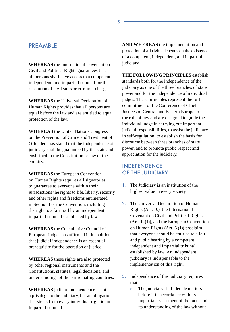## **PREAMBLE**

**WHEREAS** the International Covenant on Civil and Political Rights guarantees that all persons shall have access to a competent, independent, and impartial tribunal for the resolution of civil suits or criminal charges.

**WHEREAS** the Universal Declaration of Human Rights provides that all persons are equal before the law and are entitled to equal protection of the law.

**WHEREAS** the United Nations Congress on the Prevention of Crime and Treatment of Offenders has stated that the independence of judiciary shall be guaranteed by the state and enshrined in the Constitution or law of the country.

**WHEREAS** the European Convention on Human Rights requires all signatories to guarantee to everyone within their jurisdictions the rights to life, liberty, security and other rights and freedoms enumerated in Section I of the Convention, including the right to a fair trail by an independent impartial tribunal established by law.

**WHEREAS** the Consultative Council of European Judges has affirmed in its opinions that judicial independence is an essential prerequisite for the operation of justice.

**WHEREAS** these rights are also protected by other regional instruments and the Constitutions, statutes, legal decisions, and understandings of the participating countries.

**WHEREAS** judicial independence is not a privilege to the judiciary, but an obligation that stems from every individual right to an impartial tribunal.

**AND WHEREAS** the implementation and protection of all rights depends on the existence of a competent, independent, and impartial judiciary.

**THE FOLLOWING PRINCIPLES** establish standards both for the independence of the judiciary as one of the three branches of state power and for the independence of individual judges. These principles represent the full commitment of the Conference of Chief Justices of Central and Eastern Europe to the rule of law and are designed to guide the individual judge in carrying out important judicial responsibilities, to assist the judiciary in self-regulation, to establish the basis for discourse between three branches of state power, and to promote public respect and appreciation for the judiciary.

### INDEPENDENCE OF THE JUDICIARY

- 1. The Judiciary is an institution of the highest value in every society.
- 2. The Universal Declaration of Human Rights (Art. 10), the International Covenant on Civil and Political Rights (Art. 14(1)), and the European Convention on Human Rights (Art. 6 (1)) proclaim that everyone should be entitled to a fair and public hearing by a competent, independent and impartial tribunal established by law. An independent judiciary is indispensable to the implementation of this right.
- 3. Independence of the Judiciary requires that:
	- a. The judiciary shall decide matters before it in accordance with its impartial assessment of the facts and its understanding of the law without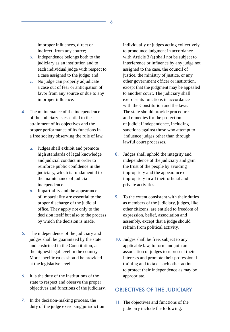improper influences, direct or indirect, from any source;

- b. Independence belongs both to the judiciary as an institution and to each individual judge with respect to a case assigned to the judge; and
- c. No judge can properly adjudicate a case out of fear or anticipation of favor from any source or due to any improper influence.
- 4. The maintenance of the independence of the judiciary is essential to the attainment of its objectives and the proper performance of its functions in a free society observing the rule of law.
	- a. Judges shall exhibit and promote high standards of legal knowledge and judicial conduct in order to reinforce public confidence in the judiciary, which is fundamental to the maintenance of judicial independence.
	- b. Impartiality and the appearance of impartiality are essential to the proper discharge of the judicial office. They apply not only to the decision itself but also to the process by which the decision is made.
- 5. The independence of the judiciary and judges shall be guaranteed by the state and enshrined in the Constitution, at the highest legal level in the country. More specific rules should be provided at the legislative level.
- 6. It is the duty of the institutions of the state to respect and observe the proper objectives and functions of the judiciary.
- 7. In the decision-making process, the duty of the judge exercising jurisdiction

individually or judges acting collectively to pronounce judgment in accordance with Article 3 (a) shall not be subject to interference or influence by any judge not assigned to the case, the council of justice, the ministry of justice, or any other government officer or institution, except that the judgment may be appealed to another court. The judiciary shall exercise its functions in accordance with the Constitution and the laws. The state should provide procedures and remedies for the protection of judicial independence, including sanctions against those who attempt to influence judges other than through lawful court processes.

- 8. Judges shall uphold the integrity and independence of the judiciary and gain the trust of the people by avoiding impropriety and the appearance of impropriety in all their official and private activities.
- 9. To the extent consistent with their duties as members of the judiciary, judges, like other citizens, are entitled to freedom of expression, belief, association and assembly, except that a judge should refrain from political activity.
- 10. Judges shall be free, subject to any applicable law, to form and join an association of judges to represent their interests and promote their professional training and to take such other action to protect their independence as may be appropriate.

#### OBJECTIVES OF THE JUDICIARY

11. The objectives and functions of the judiciary include the following: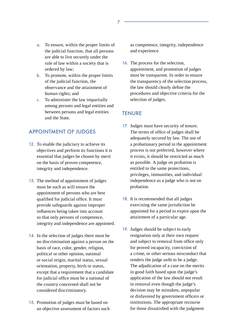- a. To ensure, within the proper limits of the judicial function, that all persons are able to live securely under the rule of law within a society that is ordered by law;
- b. To promote, within the proper limits of the judicial function, the observance and the attainment of human rights; and
- c. To administer the law impartially among persons and legal entities and between persons and legal entities and the State.

## APPOINTMENT OF JUDGES

- 12. To enable the judiciary to achieve its objectives and perform its functions it is essential that judges be chosen by merit on the basis of proven competence, integrity and independence.
- 13. The method of appointment of judges must be such as will ensure the appointment of persons who are best qualified for judicial office. It must provide safeguards against improper influences being taken into account so that only persons of competence, integrity and independence are appointed.
- 14. In the selection of judges there must be no discrimination against a person on the basis of race, color, gender, religion, political or other opinion, national or social origin, marital status, sexual orientation, property, birth or status, except that a requirement that a candidate for judicial office must be a national of the country concerned shall not be considered discriminatory.
- 15. Promotion of judges must be based on an objective assessment of factors such

as competence, integrity, independence and experience.

16. The process for the selection, appointment, and promotion of judges must be transparent. In order to ensure the transparency of the selection process, the law should clearly define the procedures and objective criteria for the selection of judges.

#### **TENURE**

- 17. Judges must have security of tenure. The terms of office of judges shall be adequately secured by law. The use of a probationary period in the appointment process is not preferred, however where it exists, it should be restricted as much as possible. A judge on probation is entitled to the same protections, privileges, immunities, and individual independence as a judge who is not on probation.
- 18. It is recommended that all judges exercising the same jurisdiction be appointed for a period to expire upon the attainment of a particular age.
- 19. Judges should be subject to early resignation only at their own request and subject to removal from office only for proved incapacity, conviction of a crime, or other serious misconduct that renders the judge unfit to be a judge. The adjudication of a case on the merits in good faith based upon the judge's application of the law should not result in removal even though the judge's decision may be mistaken, unpopular or disfavored by government officers or institutions. The appropriate recourse for those dissatisfied with the judgment

7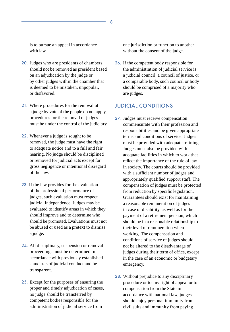is to pursue an appeal in accordance with law.

- 20. Judges who are presidents of chambers should not be removed as president based on an adjudication by the judge or by other judges within the chamber that is deemed to be mistaken, unpopular, or disfavored.
- 21. Where procedures for the removal of a judge by vote of the people do not apply, procedures for the removal of judges must be under the control of the judiciary.
- 22. Whenever a judge is sought to be removed, the judge must have the right to adequate notice and to a full and fair hearing. No judge should be disciplined or removed for judicial acts except for gross negligence or intentional disregard of the law.
- 23. If the law provides for the evaluation of the professional performance of judges, such evaluation must respect judicial independence. Judges may be evaluated to identify areas in which they should improve and to determine who should be promoted. Evaluations must not be abused or used as a pretext to dismiss a judge.
- 24. All disciplinary, suspension or removal proceedings must be determined in accordance with previously established standards of judicial conduct and be transparent.
- 25. Except for the purposes of ensuring the proper and timely adjudication of cases, no judge should be transferred by competent bodies responsible for the administration of judicial service from

one jurisdiction or function to another without the consent of the judge.

26. If the competent body responsible for the administration of judicial service is a judicial council, a council of justice, or a comparable body, such council or body should be comprised of a majority who are judges.

#### JUDICIAL CONDITIONS

- 27. Judges must receive compensation commensurate with their profession and responsibilities and be given appropriate terms and conditions of service. Judges must be provided with adequate training. Judges must also be provided with adequate facilities in which to work that reflect the importance of the rule of law in society. The courts should be provided with a sufficient number of judges and appropriately qualified support staff. The compensation of judges must be protected from reduction by specific legislation. Guarantees should exist for maintaining a reasonable remuneration of judges in case of disability, as well as for the payment of a retirement pension, which should be in a reasonable relationship to their level of remuneration when working. The compensation and conditions of service of judges should not be altered to the disadvantage of judges during their term of office, except in the case of an economic or budgetary emergency.
- 28. Without prejudice to any disciplinary procedure or to any right of appeal or to compensation from the State in accordance with national law, judges should enjoy personal immunity from civil suits and immunity from paying

8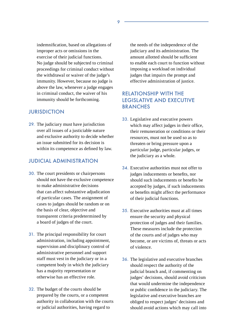indemnification, based on allegations of improper acts or omissions in the exercise of their judicial functions. No judge should be subjected to criminal proceedings for criminal conduct without the withdrawal or waiver of the judge's immunity. However, because no judge is above the law, whenever a judge engages in criminal conduct, the waiver of his immunity should be forthcoming.

#### JURISDICTION

29. The judiciary must have jurisdiction over all issues of a justiciable nature and exclusive authority to decide whether an issue submitted for its decision is within its competence as defined by law.

#### JUDICIAL ADMINISTRATION

- 30. The court presidents or chairpersons should not have the exclusive competence to make administrative decisions that can affect substantive adjudication of particular cases. The assignment of cases to judges should be random or on the basis of clear, objective and transparent criteria predetermined by a board of judges of the court.
- 31. The principal responsibility for court administration, including appointment, supervision and disciplinary control of administrative personnel and support staff must vest in the judiciary or in a competent body in which the judiciary has a majority representation or otherwise has an effective role.
- 32. The budget of the courts should be prepared by the courts, or a competent authority in collaboration with the courts or judicial authorities, having regard to

the needs of the independence of the judiciary and its administration. The amount allotted should be sufficient to enable each court to function without imposing a workload on individual judges that impairs the prompt and effective administration of justice.

## RELATIONSHIP WITH THE LEGISLATIVE AND EXECUTIVE **BRANCHES**

- 33. Legislative and executive powers which may affect judges in their office, their remuneration or conditions or their resources, must not be used so as to threaten or bring pressure upon a particular judge, particular judges, or the judiciary as a whole.
- 34. Executive authorities must not offer to judges inducements or benefits, nor should such inducements or benefits be accepted by judges, if such inducements or benefits might affect the performance of their judicial functions.
- 35. Executive authorities must at all times ensure the security and physical protection of judges and their families. These measures include the protection of the courts and of judges who may become, or are victims of, threats or acts of violence.
- 36. The legislative and executive branches should respect the authority of the judicial branch and, if commenting on judges' decisions, should avoid criticism that would undermine the independence or public confidence in the judiciary. The legislative and executive branches are obliged to respect judges' decisions and should avoid actions which may call into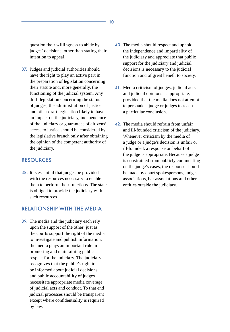question their willingness to abide by judges' decisions, other than stating their intention to appeal.

37. Judges and judicial authorities should have the right to play an active part in the preparation of legislation concerning their statute and, more generally, the functioning of the judicial system. Any draft legislation concerning the status of judges, the administration of justice and other draft legislation likely to have an impact on the judiciary, independence of the judiciary or guarantees of citizens' access to justice should be considered by the legislative branch only after obtaining the opinion of the competent authority of the judiciary.

#### RESOURCES

38. It is essential that judges be provided with the resources necessary to enable them to perform their functions. The state is obliged to provide the judiciary with such resources

#### RELATIONSHIP WITH THE MEDIA

39. The media and the judiciary each rely upon the support of the other: just as the courts support the right of the media to investigate and publish information, the media plays an important role in promoting and maintaining public respect for the judiciary. The judiciary recognizes that the public's right to be informed about judicial decisions and public accountability of judges necessitate appropriate media coverage of judicial acts and conduct. To that end judicial processes should be transparent except where confidentiality is required by law.

- 40. The media should respect and uphold the independence and impartiality of the judiciary and appreciate that public support for the judiciary and judicial decisions is necessary to the judicial function and of great benefit to society.
- 41. Media criticism of judges, judicial acts and judicial opinions is appropriate, provided that the media does not attempt to persuade a judge or judges to reach a particular conclusion.
- 42. The media should refrain from unfair and ill-founded criticism of the judiciary. Whenever criticism by the media of a judge or a judge's decision is unfair or ill-founded, a response on behalf of the judge is appropriate. Because a judge is constrained from publicly commenting on the judge's cases, the response should be made by court spokespersons, judges' associations, bar associations and other entities outside the judiciary.